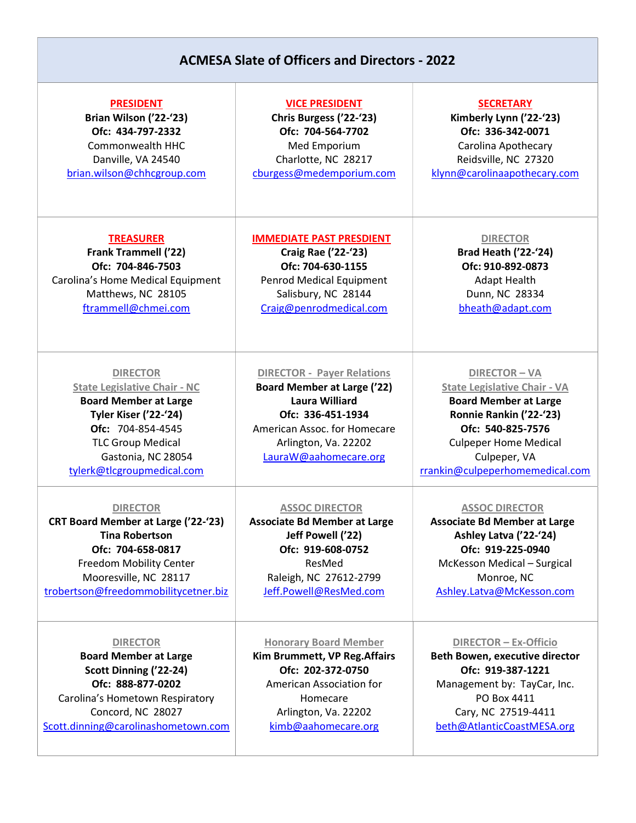## ACMESA Slate of Officers and Directors - 2022

| <b>PRESIDENT</b>                                                                                                                                                                                                            | <b>VICE PRESIDENT</b>                                                                                                                                                                                  | <b>SECRETARY</b>                                                                                                                                                                                                             |
|-----------------------------------------------------------------------------------------------------------------------------------------------------------------------------------------------------------------------------|--------------------------------------------------------------------------------------------------------------------------------------------------------------------------------------------------------|------------------------------------------------------------------------------------------------------------------------------------------------------------------------------------------------------------------------------|
| Brian Wilson ('22-'23)                                                                                                                                                                                                      | Chris Burgess ('22-'23)                                                                                                                                                                                | Kimberly Lynn ('22-'23)                                                                                                                                                                                                      |
| Ofc: 434-797-2332                                                                                                                                                                                                           | Ofc: 704-564-7702                                                                                                                                                                                      | Ofc: 336-342-0071                                                                                                                                                                                                            |
| Commonwealth HHC                                                                                                                                                                                                            | Med Emporium                                                                                                                                                                                           | Carolina Apothecary                                                                                                                                                                                                          |
| Danville, VA 24540                                                                                                                                                                                                          | Charlotte, NC 28217                                                                                                                                                                                    | Reidsville, NC 27320                                                                                                                                                                                                         |
| brian.wilson@chhcgroup.com                                                                                                                                                                                                  | cburgess@medemporium.com                                                                                                                                                                               | klynn@carolinaapothecary.com                                                                                                                                                                                                 |
| <b>TREASURER</b>                                                                                                                                                                                                            | <b>IMMEDIATE PAST PRESDIENT</b>                                                                                                                                                                        | <b>DIRECTOR</b>                                                                                                                                                                                                              |
| <b>Frank Trammell ('22)</b>                                                                                                                                                                                                 | <b>Craig Rae ('22-'23)</b>                                                                                                                                                                             | <b>Brad Heath ('22-'24)</b>                                                                                                                                                                                                  |
| Ofc: 704-846-7503                                                                                                                                                                                                           | Ofc: 704-630-1155                                                                                                                                                                                      | Ofc: 910-892-0873                                                                                                                                                                                                            |
| Carolina's Home Medical Equipment                                                                                                                                                                                           | Penrod Medical Equipment                                                                                                                                                                               | <b>Adapt Health</b>                                                                                                                                                                                                          |
| Matthews, NC 28105                                                                                                                                                                                                          | Salisbury, NC 28144                                                                                                                                                                                    | Dunn, NC 28334                                                                                                                                                                                                               |
| ftrammell@chmei.com                                                                                                                                                                                                         | Craig@penrodmedical.com                                                                                                                                                                                | bheath@adapt.com                                                                                                                                                                                                             |
| <b>DIRECTOR</b><br><b>State Legislative Chair - NC</b><br><b>Board Member at Large</b><br><b>Tyler Kiser ('22-'24)</b><br>Ofc: 704-854-4545<br><b>TLC Group Medical</b><br>Gastonia, NC 28054<br>tylerk@tlcgroupmedical.com | <b>DIRECTOR - Payer Relations</b><br><b>Board Member at Large ('22)</b><br><b>Laura Williard</b><br>Ofc: 336-451-1934<br>American Assoc. for Homecare<br>Arlington, Va. 22202<br>LauraW@aahomecare.org | <b>DIRECTOR-VA</b><br><b>State Legislative Chair - VA</b><br><b>Board Member at Large</b><br>Ronnie Rankin ('22-'23)<br>Ofc: 540-825-7576<br><b>Culpeper Home Medical</b><br>Culpeper, VA<br>rrankin@culpeperhomemedical.com |
| <b>DIRECTOR</b>                                                                                                                                                                                                             | <b>ASSOC DIRECTOR</b>                                                                                                                                                                                  | <b>ASSOC DIRECTOR</b>                                                                                                                                                                                                        |
| <b>CRT Board Member at Large ('22-'23)</b>                                                                                                                                                                                  | <b>Associate Bd Member at Large</b>                                                                                                                                                                    | <b>Associate Bd Member at Large</b>                                                                                                                                                                                          |
| <b>Tina Robertson</b>                                                                                                                                                                                                       | Jeff Powell ('22)                                                                                                                                                                                      | Ashley Latva ('22-'24)                                                                                                                                                                                                       |
| Ofc: 704-658-0817                                                                                                                                                                                                           | Ofc: 919-608-0752                                                                                                                                                                                      | Ofc: 919-225-0940                                                                                                                                                                                                            |
| <b>Freedom Mobility Center</b>                                                                                                                                                                                              | ResMed                                                                                                                                                                                                 | McKesson Medical - Surgical                                                                                                                                                                                                  |
| Mooresville, NC 28117                                                                                                                                                                                                       | Raleigh, NC 27612-2799                                                                                                                                                                                 | Monroe, NC                                                                                                                                                                                                                   |
| trobertson@freedommobilitycetner.biz                                                                                                                                                                                        | Jeff.Powell@ResMed.com                                                                                                                                                                                 | Ashley.Latva@McKesson.com                                                                                                                                                                                                    |
| <b>DIRECTOR</b>                                                                                                                                                                                                             | <b>Honorary Board Member</b>                                                                                                                                                                           | DIRECTOR - Ex-Officio                                                                                                                                                                                                        |
| <b>Board Member at Large</b>                                                                                                                                                                                                | Kim Brummett, VP Reg. Affairs                                                                                                                                                                          | <b>Beth Bowen, executive director</b>                                                                                                                                                                                        |
| Scott Dinning ('22-24)                                                                                                                                                                                                      | Ofc: 202-372-0750                                                                                                                                                                                      | Ofc: 919-387-1221                                                                                                                                                                                                            |
| Ofc: 888-877-0202                                                                                                                                                                                                           | American Association for                                                                                                                                                                               | Management by: TayCar, Inc.                                                                                                                                                                                                  |
| Carolina's Hometown Respiratory                                                                                                                                                                                             | Homecare                                                                                                                                                                                               | PO Box 4411                                                                                                                                                                                                                  |
| Concord, NC 28027                                                                                                                                                                                                           | Arlington, Va. 22202                                                                                                                                                                                   | Cary, NC 27519-4411                                                                                                                                                                                                          |
| Scott.dinning@carolinashometown.com                                                                                                                                                                                         | kimb@aahomecare.org                                                                                                                                                                                    | beth@AtlanticCoastMESA.org                                                                                                                                                                                                   |